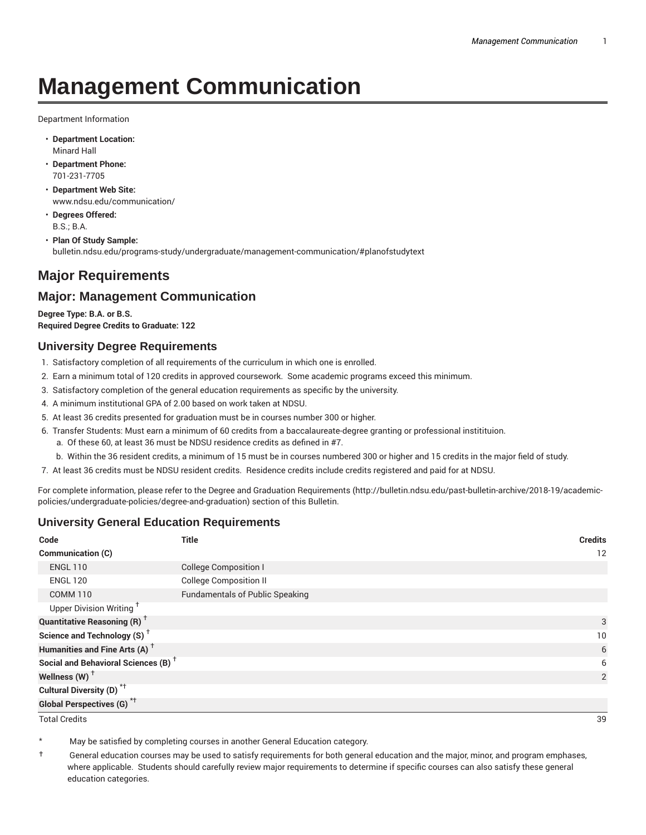# **Management Communication**

Department Information

- **Department Location:** Minard Hall
- **Department Phone:** 701-231-7705
- **Department Web Site:** www.ndsu.edu/communication/
- **Degrees Offered:** B.S.; B.A.
- **Plan Of Study Sample:** bulletin.ndsu.edu/programs-study/undergraduate/management-communication/#planofstudytext

# **Major Requirements**

## **Major: Management Communication**

**Degree Type: B.A. or B.S. Required Degree Credits to Graduate: 122**

## **University Degree Requirements**

- 1. Satisfactory completion of all requirements of the curriculum in which one is enrolled.
- 2. Earn a minimum total of 120 credits in approved coursework. Some academic programs exceed this minimum.
- 3. Satisfactory completion of the general education requirements as specific by the university.
- 4. A minimum institutional GPA of 2.00 based on work taken at NDSU.
- 5. At least 36 credits presented for graduation must be in courses number 300 or higher.
- 6. Transfer Students: Must earn a minimum of 60 credits from a baccalaureate-degree granting or professional institituion.
	- a. Of these 60, at least 36 must be NDSU residence credits as defined in #7.
	- b. Within the 36 resident credits, a minimum of 15 must be in courses numbered 300 or higher and 15 credits in the major field of study.
- 7. At least 36 credits must be NDSU resident credits. Residence credits include credits registered and paid for at NDSU.

For complete information, please refer to the Degree and Graduation Requirements (http://bulletin.ndsu.edu/past-bulletin-archive/2018-19/academicpolicies/undergraduate-policies/degree-and-graduation) section of this Bulletin.

## **University General Education Requirements**

| Code                                            | <b>Title</b>                           | <b>Credits</b> |
|-------------------------------------------------|----------------------------------------|----------------|
| Communication (C)                               |                                        | 12             |
| <b>ENGL 110</b>                                 | <b>College Composition I</b>           |                |
| <b>ENGL 120</b>                                 | <b>College Composition II</b>          |                |
| <b>COMM 110</b>                                 | <b>Fundamentals of Public Speaking</b> |                |
| Upper Division Writing <sup>+</sup>             |                                        |                |
| <b>Quantitative Reasoning (R)</b> <sup>†</sup>  |                                        | 3              |
| Science and Technology (S) <sup>+</sup>         |                                        | 10             |
| Humanities and Fine Arts (A) <sup>+</sup>       |                                        | 6              |
| Social and Behavioral Sciences (B) <sup>+</sup> |                                        | 6              |
| Wellness $(W)$ <sup>+</sup>                     |                                        | 2              |
| Cultural Diversity (D) <sup>*†</sup>            |                                        |                |
| <b>Global Perspectives (G)<sup>*†</sup></b>     |                                        |                |

Total Credits 39

May be satisfied by completing courses in another General Education category.

† General education courses may be used to satisfy requirements for both general education and the major, minor, and program emphases, where applicable. Students should carefully review major requirements to determine if specific courses can also satisfy these general education categories.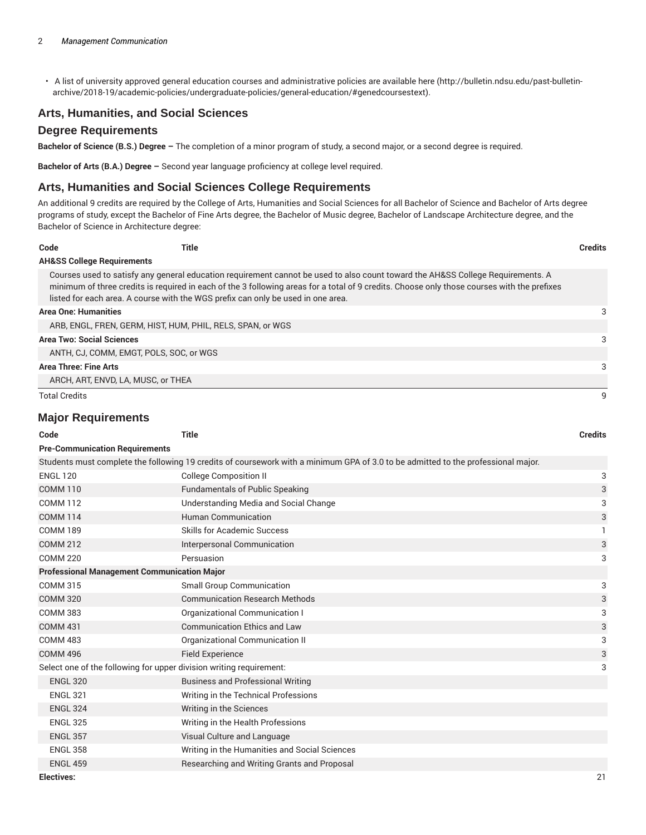• A list of university approved general education courses and administrative policies are available here (http://bulletin.ndsu.edu/past-bulletinarchive/2018-19/academic-policies/undergraduate-policies/general-education/#genedcoursestext).

## **Arts, Humanities, and Social Sciences**

#### **Degree Requirements**

**Bachelor of Science (B.S.) Degree –** The completion of a minor program of study, a second major, or a second degree is required.

**Bachelor of Arts (B.A.) Degree –** Second year language proficiency at college level required.

#### **Arts, Humanities and Social Sciences College Requirements**

An additional 9 credits are required by the College of Arts, Humanities and Social Sciences for all Bachelor of Science and Bachelor of Arts degree programs of study, except the Bachelor of Fine Arts degree, the Bachelor of Music degree, Bachelor of Landscape Architecture degree, and the Bachelor of Science in Architecture degree:

| Code                                  | Title                                                                            |                                                                                                                                                                                                                                                                                | <b>Credits</b> |
|---------------------------------------|----------------------------------------------------------------------------------|--------------------------------------------------------------------------------------------------------------------------------------------------------------------------------------------------------------------------------------------------------------------------------|----------------|
| <b>AH&amp;SS College Requirements</b> |                                                                                  |                                                                                                                                                                                                                                                                                |                |
|                                       | listed for each area. A course with the WGS prefix can only be used in one area. | Courses used to satisfy any general education requirement cannot be used to also count toward the AH&SS College Requirements. A<br>minimum of three credits is required in each of the 3 following areas for a total of 9 credits. Choose only those courses with the prefixes |                |
| <b>Area One: Humanities</b>           |                                                                                  |                                                                                                                                                                                                                                                                                | 3              |
|                                       | ARB, ENGL, FREN, GERM, HIST, HUM, PHIL, RELS, SPAN, or WGS                       |                                                                                                                                                                                                                                                                                |                |
| <b>Area Two: Social Sciences</b>      |                                                                                  |                                                                                                                                                                                                                                                                                | 3              |
|                                       | ANTH. CJ. COMM. EMGT. POLS. SOC. or WGS                                          |                                                                                                                                                                                                                                                                                |                |
| Area Three: Fine Arts                 |                                                                                  |                                                                                                                                                                                                                                                                                | 3              |
|                                       | ARCH, ART, ENVD, LA, MUSC, or THEA                                               |                                                                                                                                                                                                                                                                                |                |
| <b>Total Credits</b>                  |                                                                                  |                                                                                                                                                                                                                                                                                |                |

#### **Major Requirements**

| Code                                                                | <b>Title</b>                                                                                                                      | <b>Credits</b> |
|---------------------------------------------------------------------|-----------------------------------------------------------------------------------------------------------------------------------|----------------|
| <b>Pre-Communication Requirements</b>                               |                                                                                                                                   |                |
|                                                                     | Students must complete the following 19 credits of coursework with a minimum GPA of 3.0 to be admitted to the professional major. |                |
| <b>ENGL 120</b>                                                     | <b>College Composition II</b>                                                                                                     | 3              |
| <b>COMM 110</b>                                                     | <b>Fundamentals of Public Speaking</b>                                                                                            | 3              |
| <b>COMM 112</b>                                                     | Understanding Media and Social Change                                                                                             | 3              |
| <b>COMM 114</b>                                                     | <b>Human Communication</b>                                                                                                        | 3              |
| <b>COMM 189</b>                                                     | <b>Skills for Academic Success</b>                                                                                                | 1              |
| <b>COMM 212</b>                                                     | Interpersonal Communication                                                                                                       | 3              |
| <b>COMM 220</b>                                                     | Persuasion                                                                                                                        | 3              |
| <b>Professional Management Communication Major</b>                  |                                                                                                                                   |                |
| <b>COMM 315</b>                                                     | <b>Small Group Communication</b>                                                                                                  | 3              |
| <b>COMM 320</b>                                                     | <b>Communication Research Methods</b>                                                                                             | 3              |
| <b>COMM 383</b>                                                     | Organizational Communication I                                                                                                    | 3              |
| <b>COMM 431</b>                                                     | <b>Communication Ethics and Law</b>                                                                                               | 3              |
| <b>COMM 483</b>                                                     | Organizational Communication II                                                                                                   | 3              |
| <b>COMM 496</b>                                                     | <b>Field Experience</b>                                                                                                           | 3              |
| Select one of the following for upper division writing requirement: |                                                                                                                                   |                |
| <b>ENGL 320</b>                                                     | <b>Business and Professional Writing</b>                                                                                          |                |
| <b>ENGL 321</b>                                                     | Writing in the Technical Professions                                                                                              |                |
| <b>ENGL 324</b>                                                     | Writing in the Sciences                                                                                                           |                |
| <b>ENGL 325</b>                                                     | Writing in the Health Professions                                                                                                 |                |
| <b>ENGL 357</b>                                                     | Visual Culture and Language                                                                                                       |                |
| <b>ENGL 358</b>                                                     | Writing in the Humanities and Social Sciences                                                                                     |                |
| <b>ENGL 459</b>                                                     | Researching and Writing Grants and Proposal                                                                                       |                |
| <b>Electives:</b>                                                   |                                                                                                                                   | 21             |